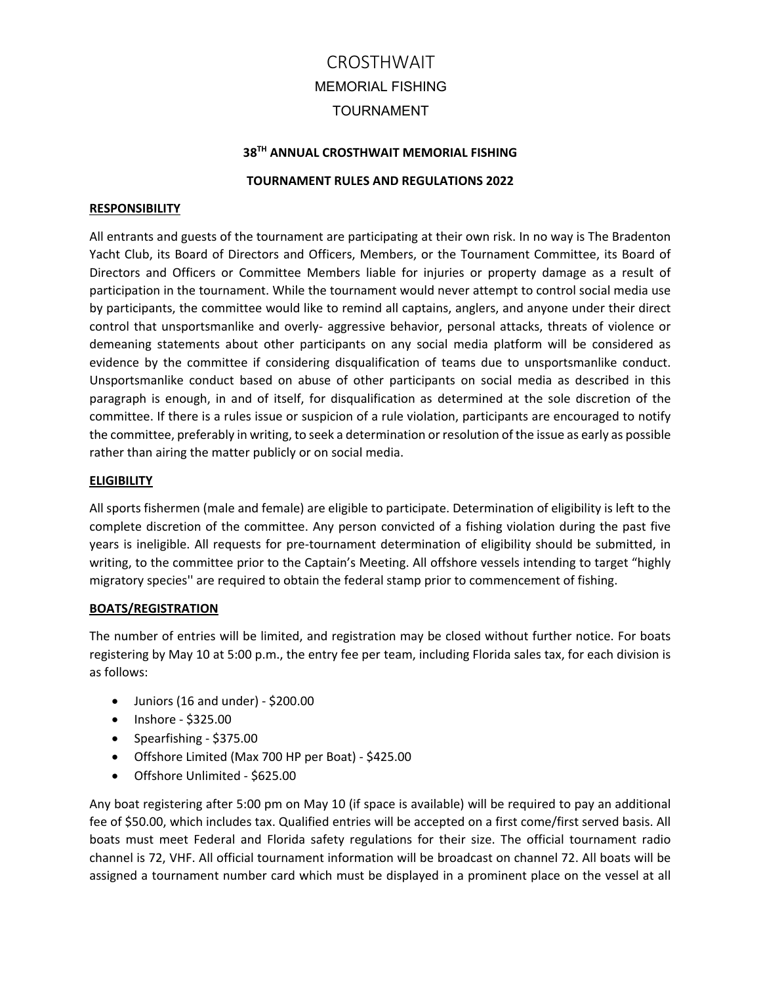## **38TH ANNUAL CROSTHWAIT MEMORIAL FISHING**

#### **TOURNAMENT RULES AND REGULATIONS 2022**

#### **RESPONSIBILITY**

All entrants and guests of the tournament are participating at their own risk. In no way is The Bradenton Yacht Club, its Board of Directors and Officers, Members, or the Tournament Committee, its Board of Directors and Officers or Committee Members liable for injuries or property damage as a result of participation in the tournament. While the tournament would never attempt to control social media use by participants, the committee would like to remind all captains, anglers, and anyone under their direct control that unsportsmanlike and overly- aggressive behavior, personal attacks, threats of violence or demeaning statements about other participants on any social media platform will be considered as evidence by the committee if considering disqualification of teams due to unsportsmanlike conduct. Unsportsmanlike conduct based on abuse of other participants on social media as described in this paragraph is enough, in and of itself, for disqualification as determined at the sole discretion of the committee. If there is a rules issue or suspicion of a rule violation, participants are encouraged to notify the committee, preferably in writing, to seek a determination or resolution of the issue as early as possible rather than airing the matter publicly or on social media.

#### **ELIGIBILITY**

All sports fishermen (male and female) are eligible to participate. Determination of eligibility is left to the complete discretion of the committee. Any person convicted of a fishing violation during the past five years is ineligible. All requests for pre‐tournament determination of eligibility should be submitted, in writing, to the committee prior to the Captain's Meeting. All offshore vessels intending to target "highly migratory species'' are required to obtain the federal stamp prior to commencement of fishing.

#### **BOATS/REGISTRATION**

The number of entries will be limited, and registration may be closed without further notice. For boats registering by May 10 at 5:00 p.m., the entry fee per team, including Florida sales tax, for each division is as follows:

- Juniors (16 and under) \$200.00
- Inshore \$325.00
- Spearfishing \$375.00
- Offshore Limited (Max 700 HP per Boat) ‐ \$425.00
- Offshore Unlimited \$625.00

Any boat registering after 5:00 pm on May 10 (if space is available) will be required to pay an additional fee of \$50.00, which includes tax. Qualified entries will be accepted on a first come/first served basis. All boats must meet Federal and Florida safety regulations for their size. The official tournament radio channel is 72, VHF. All official tournament information will be broadcast on channel 72. All boats will be assigned a tournament number card which must be displayed in a prominent place on the vessel at all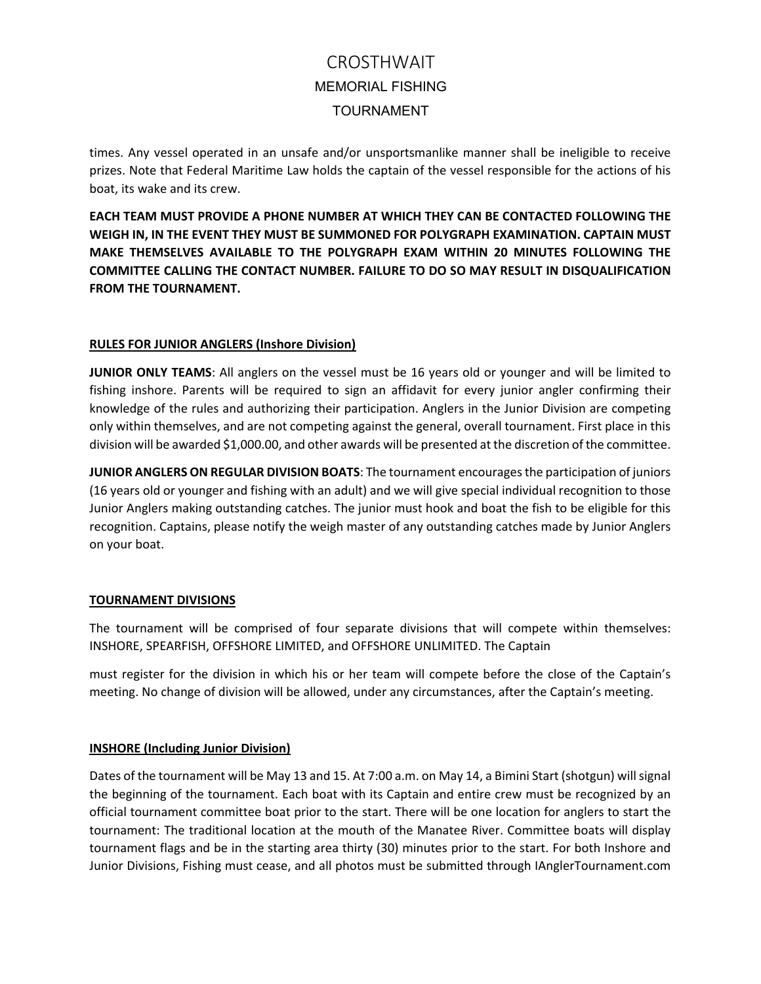times. Any vessel operated in an unsafe and/or unsportsmanlike manner shall be ineligible to receive prizes. Note that Federal Maritime Law holds the captain of the vessel responsible for the actions of his boat, its wake and its crew.

**EACH TEAM MUST PROVIDE A PHONE NUMBER AT WHICH THEY CAN BE CONTACTED FOLLOWING THE WEIGH IN, IN THE EVENT THEY MUST BE SUMMONED FOR POLYGRAPH EXAMINATION. CAPTAIN MUST MAKE THEMSELVES AVAILABLE TO THE POLYGRAPH EXAM WITHIN 20 MINUTES FOLLOWING THE COMMITTEE CALLING THE CONTACT NUMBER. FAILURE TO DO SO MAY RESULT IN DISQUALIFICATION FROM THE TOURNAMENT.** 

# **RULES FOR JUNIOR ANGLERS (Inshore Division)**

**JUNIOR ONLY TEAMS**: All anglers on the vessel must be 16 years old or younger and will be limited to fishing inshore. Parents will be required to sign an affidavit for every junior angler confirming their knowledge of the rules and authorizing their participation. Anglers in the Junior Division are competing only within themselves, and are not competing against the general, overall tournament. First place in this division will be awarded \$1,000.00, and other awards will be presented at the discretion of the committee.

**JUNIOR ANGLERS ON REGULAR DIVISION BOATS**: The tournament encourages the participation of juniors (16 years old or younger and fishing with an adult) and we will give special individual recognition to those Junior Anglers making outstanding catches. The junior must hook and boat the fish to be eligible for this recognition. Captains, please notify the weigh master of any outstanding catches made by Junior Anglers on your boat.

## **TOURNAMENT DIVISIONS**

The tournament will be comprised of four separate divisions that will compete within themselves: INSHORE, SPEARFISH, OFFSHORE LIMITED, and OFFSHORE UNLIMITED. The Captain

must register for the division in which his or her team will compete before the close of the Captain's meeting. No change of division will be allowed, under any circumstances, after the Captain's meeting.

### **INSHORE (Including Junior Division)**

Dates of the tournament will be May 13 and 15. At 7:00 a.m. on May 14, a Bimini Start (shotgun) will signal the beginning of the tournament. Each boat with its Captain and entire crew must be recognized by an official tournament committee boat prior to the start. There will be one location for anglers to start the tournament: The traditional location at the mouth of the Manatee River. Committee boats will display tournament flags and be in the starting area thirty (30) minutes prior to the start. For both Inshore and Junior Divisions, Fishing must cease, and all photos must be submitted through IAnglerTournament.com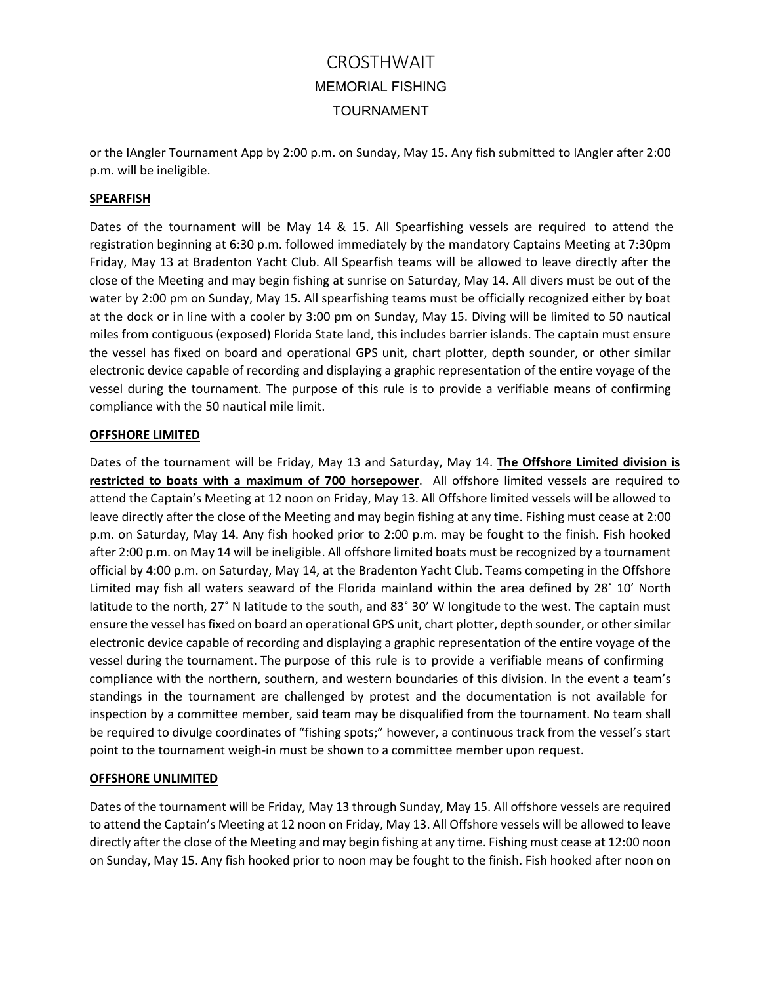or the IAngler Tournament App by 2:00 p.m. on Sunday, May 15. Any fish submitted to IAngler after 2:00 p.m. will be ineligible.

# **SPEARFISH**

Dates of the tournament will be May 14 & 15. All Spearfishing vessels are required to attend the registration beginning at 6:30 p.m. followed immediately by the mandatory Captains Meeting at 7:30pm Friday, May 13 at Bradenton Yacht Club. All Spearfish teams will be allowed to leave directly after the close of the Meeting and may begin fishing at sunrise on Saturday, May 14. All divers must be out of the water by 2:00 pm on Sunday, May 15. All spearfishing teams must be officially recognized either by boat at the dock or in line with a cooler by 3:00 pm on Sunday, May 15. Diving will be limited to 50 nautical miles from contiguous (exposed) Florida State land, this includes barrier islands. The captain must ensure the vessel has fixed on board and operational GPS unit, chart plotter, depth sounder, or other similar electronic device capable of recording and displaying a graphic representation of the entire voyage of the vessel during the tournament. The purpose of this rule is to provide a verifiable means of confirming compliance with the 50 nautical mile limit.

### **OFFSHORE LIMITED**

Dates of the tournament will be Friday, May 13 and Saturday, May 14. **The Offshore Limited division is restricted to boats with a maximum of 700 horsepower**. All offshore limited vessels are required to attend the Captain's Meeting at 12 noon on Friday, May 13. All Offshore limited vessels will be allowed to leave directly after the close of the Meeting and may begin fishing at any time. Fishing must cease at 2:00 p.m. on Saturday, May 14. Any fish hooked prior to 2:00 p.m. may be fought to the finish. Fish hooked after 2:00 p.m. on May 14 will be ineligible. All offshore limited boats must be recognized by a tournament official by 4:00 p.m. on Saturday, May 14, at the Bradenton Yacht Club. Teams competing in the Offshore Limited may fish all waters seaward of the Florida mainland within the area defined by 28˚ 10' North latitude to the north, 27˚ N latitude to the south, and 83˚ 30' W longitude to the west. The captain must ensure the vessel has fixed on board an operational GPS unit, chart plotter, depth sounder, or other similar electronic device capable of recording and displaying a graphic representation of the entire voyage of the vessel during the tournament. The purpose of this rule is to provide a verifiable means of confirming compliance with the northern, southern, and western boundaries of this division. In the event a team's standings in the tournament are challenged by protest and the documentation is not available for inspection by a committee member, said team may be disqualified from the tournament. No team shall be required to divulge coordinates of "fishing spots;" however, a continuous track from the vessel's start point to the tournament weigh‐in must be shown to a committee member upon request.

### **OFFSHORE UNLIMITED**

Dates of the tournament will be Friday, May 13 through Sunday, May 15. All offshore vessels are required to attend the Captain's Meeting at 12 noon on Friday, May 13. All Offshore vessels will be allowed to leave directly after the close of the Meeting and may begin fishing at any time. Fishing must cease at 12:00 noon on Sunday, May 15. Any fish hooked prior to noon may be fought to the finish. Fish hooked after noon on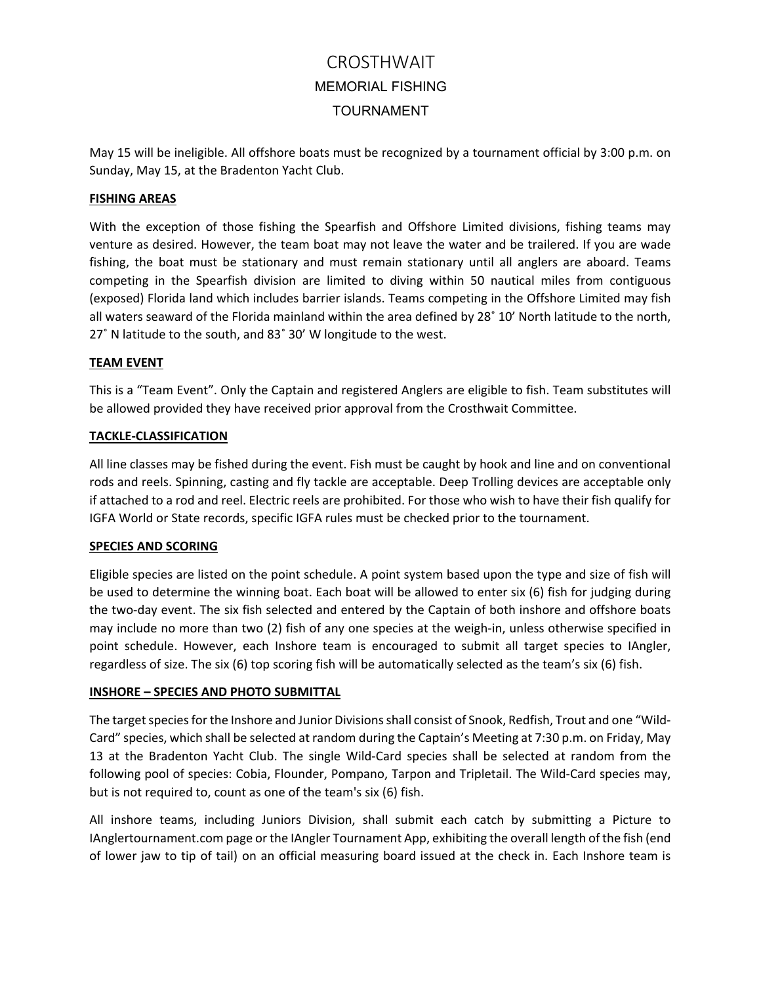May 15 will be ineligible. All offshore boats must be recognized by a tournament official by 3:00 p.m. on Sunday, May 15, at the Bradenton Yacht Club.

### **FISHING AREAS**

With the exception of those fishing the Spearfish and Offshore Limited divisions, fishing teams may venture as desired. However, the team boat may not leave the water and be trailered. If you are wade fishing, the boat must be stationary and must remain stationary until all anglers are aboard. Teams competing in the Spearfish division are limited to diving within 50 nautical miles from contiguous (exposed) Florida land which includes barrier islands. Teams competing in the Offshore Limited may fish all waters seaward of the Florida mainland within the area defined by 28˚ 10' North latitude to the north, 27˚ N latitude to the south, and 83˚ 30' W longitude to the west.

# **TEAM EVENT**

This is a "Team Event". Only the Captain and registered Anglers are eligible to fish. Team substitutes will be allowed provided they have received prior approval from the Crosthwait Committee.

# **TACKLE‐CLASSIFICATION**

All line classes may be fished during the event. Fish must be caught by hook and line and on conventional rods and reels. Spinning, casting and fly tackle are acceptable. Deep Trolling devices are acceptable only if attached to a rod and reel. Electric reels are prohibited. For those who wish to have their fish qualify for IGFA World or State records, specific IGFA rules must be checked prior to the tournament.

### **SPECIES AND SCORING**

Eligible species are listed on the point schedule. A point system based upon the type and size of fish will be used to determine the winning boat. Each boat will be allowed to enter six (6) fish for judging during the two‐day event. The six fish selected and entered by the Captain of both inshore and offshore boats may include no more than two (2) fish of any one species at the weigh-in, unless otherwise specified in point schedule. However, each Inshore team is encouraged to submit all target species to IAngler, regardless of size. The six (6) top scoring fish will be automatically selected as the team's six (6) fish.

# **INSHORE – SPECIES AND PHOTO SUBMITTAL**

The target species for the Inshore and Junior Divisions shall consist of Snook, Redfish, Trout and one "Wild‐ Card" species, which shall be selected at random during the Captain's Meeting at 7:30 p.m. on Friday, May 13 at the Bradenton Yacht Club. The single Wild-Card species shall be selected at random from the following pool of species: Cobia, Flounder, Pompano, Tarpon and Tripletail. The Wild‐Card species may, but is not required to, count as one of the team's six (6) fish.

All inshore teams, including Juniors Division, shall submit each catch by submitting a Picture to IAnglertournament.com page or the IAngler Tournament App, exhibiting the overall length of the fish (end of lower jaw to tip of tail) on an official measuring board issued at the check in. Each Inshore team is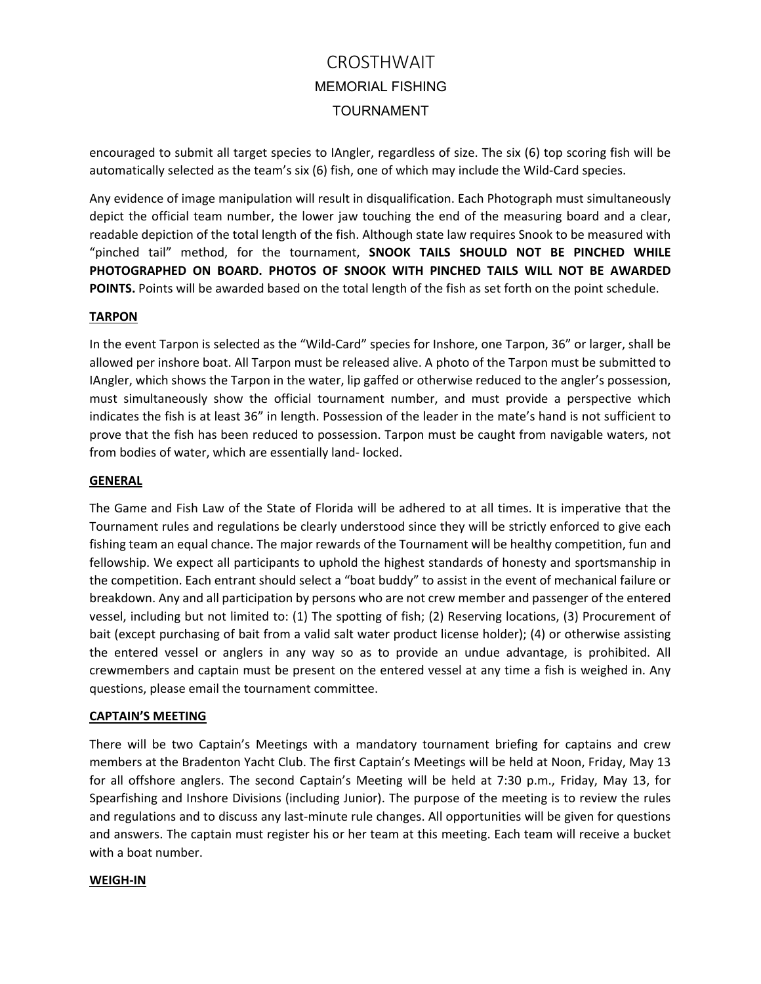encouraged to submit all target species to IAngler, regardless of size. The six (6) top scoring fish will be automatically selected as the team's six (6) fish, one of which may include the Wild-Card species.

Any evidence of image manipulation will result in disqualification. Each Photograph must simultaneously depict the official team number, the lower jaw touching the end of the measuring board and a clear, readable depiction of the total length of the fish. Although state law requires Snook to be measured with "pinched tail" method, for the tournament, **SNOOK TAILS SHOULD NOT BE PINCHED WHILE PHOTOGRAPHED ON BOARD. PHOTOS OF SNOOK WITH PINCHED TAILS WILL NOT BE AWARDED POINTS.** Points will be awarded based on the total length of the fish as set forth on the point schedule.

### **TARPON**

In the event Tarpon is selected as the "Wild-Card" species for Inshore, one Tarpon, 36" or larger, shall be allowed per inshore boat. All Tarpon must be released alive. A photo of the Tarpon must be submitted to IAngler, which shows the Tarpon in the water, lip gaffed or otherwise reduced to the angler's possession, must simultaneously show the official tournament number, and must provide a perspective which indicates the fish is at least 36" in length. Possession of the leader in the mate's hand is not sufficient to prove that the fish has been reduced to possession. Tarpon must be caught from navigable waters, not from bodies of water, which are essentially land‐ locked.

#### **GENERAL**

The Game and Fish Law of the State of Florida will be adhered to at all times. It is imperative that the Tournament rules and regulations be clearly understood since they will be strictly enforced to give each fishing team an equal chance. The major rewards of the Tournament will be healthy competition, fun and fellowship. We expect all participants to uphold the highest standards of honesty and sportsmanship in the competition. Each entrant should select a "boat buddy" to assist in the event of mechanical failure or breakdown. Any and all participation by persons who are not crew member and passenger of the entered vessel, including but not limited to: (1) The spotting of fish; (2) Reserving locations, (3) Procurement of bait (except purchasing of bait from a valid salt water product license holder); (4) or otherwise assisting the entered vessel or anglers in any way so as to provide an undue advantage, is prohibited. All crewmembers and captain must be present on the entered vessel at any time a fish is weighed in. Any questions, please email the tournament committee.

### **CAPTAIN'S MEETING**

There will be two Captain's Meetings with a mandatory tournament briefing for captains and crew members at the Bradenton Yacht Club. The first Captain's Meetings will be held at Noon, Friday, May 13 for all offshore anglers. The second Captain's Meeting will be held at 7:30 p.m., Friday, May 13, for Spearfishing and Inshore Divisions (including Junior). The purpose of the meeting is to review the rules and regulations and to discuss any last‐minute rule changes. All opportunities will be given for questions and answers. The captain must register his or her team at this meeting. Each team will receive a bucket with a boat number.

### **WEIGH‐IN**